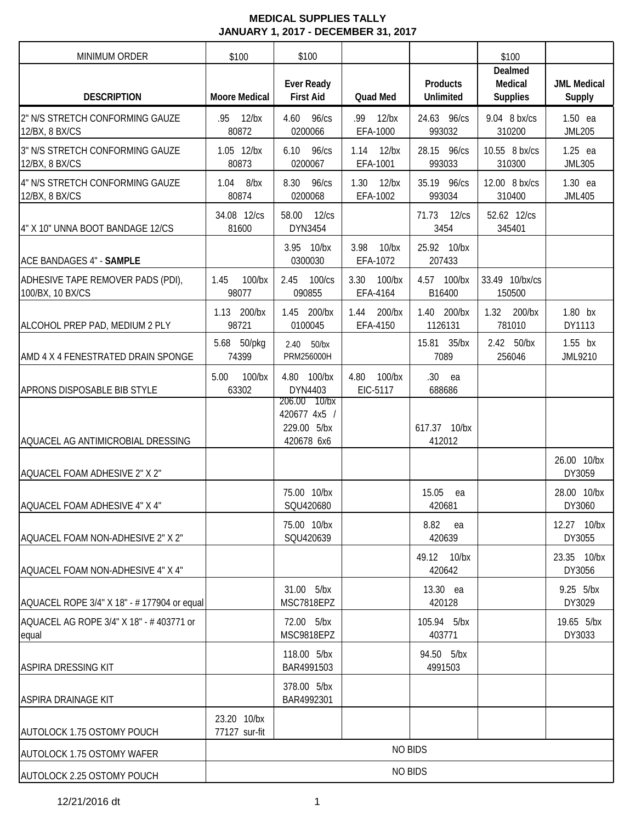| <b>MINIMUM ORDER</b>                                  | \$100                        | \$100                                        |                               |                                     | \$100                                 |                              |
|-------------------------------------------------------|------------------------------|----------------------------------------------|-------------------------------|-------------------------------------|---------------------------------------|------------------------------|
| <b>DESCRIPTION</b>                                    | <b>Moore Medical</b>         | <b>Ever Ready</b><br><b>First Aid</b>        | <b>Quad Med</b>               | <b>Products</b><br><b>Unlimited</b> | Dealmed<br>Medical<br><b>Supplies</b> | <b>JML Medical</b><br>Supply |
| 2" N/S STRETCH CONFORMING GAUZE<br>12/BX, 8 BX/CS     | $12$ /bx<br>.95<br>80872     | 4.60<br>96/cs<br>0200066                     | .99<br>$12$ /bx<br>EFA-1000   | 24.63 96/cs<br>993032               | 9.04 8 bx/cs<br>310200                | $1.50$ ea<br><b>JML205</b>   |
| 3" N/S STRETCH CONFORMING GAUZE<br>12/BX, 8 BX/CS     | 1.05 12/bx<br>80873          | 6.10<br>96/cs<br>0200067                     | 1.14<br>$12$ /bx<br>EFA-1001  | 28.15 96/cs<br>993033               | 10.55 8 bx/cs<br>310300               | $1.25$ ea<br><b>JML305</b>   |
| 4" N/S STRETCH CONFORMING GAUZE<br>12/BX, 8 BX/CS     | 1.04<br>$8$ /bx<br>80874     | 8.30<br>$96$ / $cs$<br>0200068               | 1.30<br>$12$ /bx<br>EFA-1002  | 35.19 96/cs<br>993034               | 12.00 8 bx/cs<br>310400               | 1.30 ea<br><b>JML405</b>     |
| 4" X 10" UNNA BOOT BANDAGE 12/CS                      | 34.08 12/cs<br>81600         | 58.00<br>$12$ / $cs$<br>DYN3454              |                               | 71.73<br>$12$ / $cs$<br>3454        | 52.62 12/cs<br>345401                 |                              |
| <b>ACE BANDAGES 4" - SAMPLE</b>                       |                              | 3.95 10/bx<br>0300030                        | $10$ /bx<br>3.98<br>EFA-1072  | 25.92 10/bx<br>207433               |                                       |                              |
| ADHESIVE TAPE REMOVER PADS (PDI),<br>100/BX, 10 BX/CS | 1.45<br>$100$ /bx<br>98077   | 2.45<br>100/cs<br>090855                     | 3.30<br>$100$ /bx<br>EFA-4164 | 4.57 100/bx<br>B16400               | 33.49 10/bx/cs<br>150500              |                              |
| ALCOHOL PREP PAD, MEDIUM 2 PLY                        | 1.13 200/bx<br>98721         | 1.45<br>200/bx<br>0100045                    | 1.44<br>200/bx<br>EFA-4150    | 1.40<br>200/bx<br>1126131           | 1.32 200/bx<br>781010                 | 1.80 bx<br>DY1113            |
| AMD 4 X 4 FENESTRATED DRAIN SPONGE                    | 5.68 50/pkg<br>74399         | 2.40<br>$50$ /bx<br>PRM256000H               |                               | 15.81 35/bx<br>7089                 | 2.42 50/bx<br>256046                  | $1.55$ bx<br>JML9210         |
| APRONS DISPOSABLE BIB STYLE                           | 5.00<br>100/bx<br>63302      | 4.80 100/bx<br>DYN4403<br>206.00<br>$10$ /bx | 4.80<br>$100$ /bx<br>EIC-5117 | .30<br>ea<br>688686                 |                                       |                              |
| AQUACEL AG ANTIMICROBIAL DRESSING                     |                              | 420677 4x5 /<br>229.00 5/bx<br>420678 6x6    |                               | 617.37 10/bx<br>412012              |                                       |                              |
| AQUACEL FOAM ADHESIVE 2" X 2"                         |                              |                                              |                               |                                     |                                       | 26.00 10/bx<br>DY3059        |
| AQUACEL FOAM ADHESIVE 4" X 4"                         |                              | 75.00 10/bx<br>SQU420680                     |                               | 15.05<br>ea<br>420681               |                                       | 28.00 10/bx<br>DY3060        |
| AQUACEL FOAM NON-ADHESIVE 2" X 2"                     |                              | 75.00 10/bx<br>SQU420639                     |                               | 8.82<br>ea<br>420639                |                                       | 12.27 10/bx<br>DY3055        |
| AQUACEL FOAM NON-ADHESIVE 4" X 4"                     |                              |                                              |                               | 49.12 10/bx<br>420642               |                                       | 23.35 10/bx<br>DY3056        |
| AQUACEL ROPE 3/4" X 18" - #177904 or equal            |                              | 31.00 5/bx<br>MSC7818EPZ                     |                               | 13.30 ea<br>420128                  |                                       | 9.25 5/bx<br>DY3029          |
| AQUACEL AG ROPE 3/4" X 18" - #403771 or<br>equal      |                              | 72.00 5/bx<br>MSC9818EPZ                     |                               | 105.94 5/bx<br>403771               |                                       | 19.65 5/bx<br>DY3033         |
| <b>ASPIRA DRESSING KIT</b>                            |                              | 118.00 5/bx<br>BAR4991503                    |                               | 94.50 5/bx<br>4991503               |                                       |                              |
| <b>ASPIRA DRAINAGE KIT</b>                            |                              | 378.00 5/bx<br>BAR4992301                    |                               |                                     |                                       |                              |
| AUTOLOCK 1.75 OSTOMY POUCH                            | 23.20 10/bx<br>77127 sur-fit |                                              |                               |                                     |                                       |                              |
| <b>AUTOLOCK 1.75 OSTOMY WAFER</b>                     |                              |                                              | <b>NO BIDS</b>                |                                     |                                       |                              |
| AUTOLOCK 2.25 OSTOMY POUCH                            |                              |                                              |                               | <b>NO BIDS</b>                      |                                       |                              |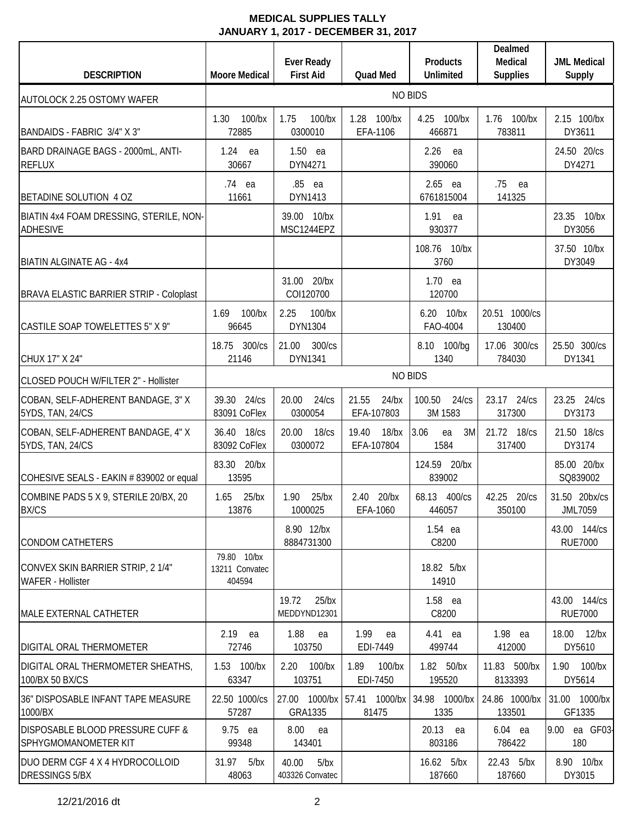| <b>DESCRIPTION</b>                                           | <b>Moore Medical</b>                    | <b>Ever Ready</b><br><b>First Aid</b> | <b>Quad Med</b>                 | <b>Products</b><br><b>Unlimited</b> | Dealmed<br>Medical<br><b>Supplies</b> | <b>JML Medical</b><br>Supply   |
|--------------------------------------------------------------|-----------------------------------------|---------------------------------------|---------------------------------|-------------------------------------|---------------------------------------|--------------------------------|
| <b>AUTOLOCK 2.25 OSTOMY WAFER</b>                            |                                         |                                       |                                 | <b>NO BIDS</b>                      |                                       |                                |
| BANDAIDS - FABRIC 3/4" X 3"                                  | 1.30<br>$100$ /bx<br>72885              | 1.75<br>$100$ /bx<br>0300010          | $100$ /bx<br>1.28<br>EFA-1106   | 4.25<br>100/bx<br>466871            | 1.76 100/bx<br>783811                 | 2.15 100/bx<br>DY3611          |
| BARD DRAINAGE BAGS - 2000mL, ANTI-<br><b>REFLUX</b>          | 1.24<br>ea<br>30667                     | $1.50$ ea<br>DYN4271                  |                                 | 2.26<br>ea<br>390060                |                                       | 24.50 20/cs<br>DY4271          |
| BETADINE SOLUTION 4 OZ                                       | .74 ea<br>11661                         | .85 ea<br>DYN1413                     |                                 | $2.65$ ea<br>6761815004             | .75<br>ea<br>141325                   |                                |
| BIATIN 4x4 FOAM DRESSING, STERILE, NON-<br><b>ADHESIVE</b>   |                                         | 39.00 10/bx<br>MSC1244EPZ             |                                 | 1.91<br>ea<br>930377                |                                       | 23.35<br>10/bx<br>DY3056       |
| <b>BIATIN ALGINATE AG - 4x4</b>                              |                                         |                                       |                                 | 108.76 10/bx<br>3760                |                                       | 37.50 10/bx<br>DY3049          |
| <b>BRAVA ELASTIC BARRIER STRIP - Coloplast</b>               |                                         | $20$ /bx<br>31.00<br>COI120700        |                                 | $1.70$ ea<br>120700                 |                                       |                                |
| CASTILE SOAP TOWELETTES 5" X 9"                              | 1.69<br>$100$ /bx<br>96645              | 2.25<br>100/bx<br><b>DYN1304</b>      |                                 | 6.20 10/bx<br>FAO-4004              | 20.51 1000/cs<br>130400               |                                |
| CHUX 17" X 24"                                               | 18.75 300/cs<br>21146                   | 21.00<br>300/cs<br>DYN1341            |                                 | 8.10 100/bg<br>1340                 | 17.06 300/cs<br>784030                | 25.50 300/cs<br>DY1341         |
| CLOSED POUCH W/FILTER 2" - Hollister                         |                                         |                                       |                                 | <b>NO BIDS</b>                      |                                       |                                |
| COBAN, SELF-ADHERENT BANDAGE, 3" X<br>5YDS, TAN, 24/CS       | 39.30 24/cs<br>83091 CoFlex             | 20.00<br>24/cs<br>0300054             | 21.55<br>$24$ /bx<br>EFA-107803 | 100.50<br>24/cs<br>3M 1583          | 23.17 24/cs<br>317300                 | 23.25 24/cs<br>DY3173          |
| COBAN, SELF-ADHERENT BANDAGE, 4" X<br>5YDS, TAN, 24/CS       | 36.40<br>18/cs<br>83092 CoFlex          | 20.00<br>18/cs<br>0300072             | 19.40<br>$18$ /bx<br>EFA-107804 | 3.06<br>3M<br>ea<br>1584            | 21.72 18/cs<br>317400                 | 21.50 18/cs<br>DY3174          |
| COHESIVE SEALS - EAKIN # 839002 or equal                     | 83.30 20/bx<br>13595                    |                                       |                                 | 124.59 20/bx<br>839002              |                                       | 85.00 20/bx<br>SQ839002        |
| COMBINE PADS 5 X 9, STERILE 20/BX, 20<br><b>BX/CS</b>        | $1.65$ 25/bx<br>13876                   | 1.90 25/bx<br>1000025                 | 2.40 20/bx<br>EFA-1060          | 68.13 400/cs<br>446057              | 42.25 20/cs<br>350100                 | 31.50 20bx/cs<br>JML7059       |
| <b>CONDOM CATHETERS</b>                                      |                                         | 8.90 12/bx<br>8884731300              |                                 | $1.54$ ea<br>C8200                  |                                       | 43.00 144/cs<br><b>RUE7000</b> |
| CONVEX SKIN BARRIER STRIP, 21/4"<br><b>WAFER - Hollister</b> | 79.80 10/bx<br>13211 Convatec<br>404594 |                                       |                                 | 18.82 5/bx<br>14910                 |                                       |                                |
| MALE EXTERNAL CATHETER                                       |                                         | 19.72<br>$25$ /bx<br>MEDDYND12301     |                                 | 1.58 ea<br>C8200                    |                                       | 43.00 144/cs<br><b>RUE7000</b> |
| <b>DIGITAL ORAL THERMOMETER</b>                              | $2.19$ ea<br>72746                      | 1.88<br>ea<br>103750                  | 1.99<br>ea<br>EDI-7449          | 4.41 ea<br>499744                   | 1.98 ea<br>412000                     | 18.00 12/bx<br>DY5610          |
| DIGITAL ORAL THERMOMETER SHEATHS,<br>100/BX 50 BX/CS         | 1.53 100/bx<br>63347                    | 2.20 100/bx<br>103751                 | 1.89<br>$100$ /bx<br>EDI-7450   | 1.82 50/bx<br>195520                | 11.83 500/bx<br>8133393               | 1.90 100/bx<br>DY5614          |
| 36" DISPOSABLE INFANT TAPE MEASURE<br>1000/BX                | 22.50 1000/cs<br>57287                  | 27.00 1000/bx<br>GRA1335              | 57.41 1000/bx<br>81475          | 34.98 1000/bx<br>1335               | 24.86 1000/bx<br>133501               | 31.00 1000/bx<br>GF1335        |
| DISPOSABLE BLOOD PRESSURE CUFF &<br>SPHYGMOMANOMETER KIT     | 9.75 ea<br>99348                        | 8.00<br>ea<br>143401                  |                                 | 20.13 ea<br>803186                  | 6.04 ea<br>786422                     | 9.00 ea GF03-<br>180           |
| DUO DERM CGF 4 X 4 HYDROCOLLOID<br><b>DRESSINGS 5/BX</b>     | 31.97 5/bx<br>48063                     | 40.00<br>5/bx<br>403326 Convatec      |                                 | 16.62 5/bx<br>187660                | 22.43 5/bx<br>187660                  | 8.90 10/bx<br>DY3015           |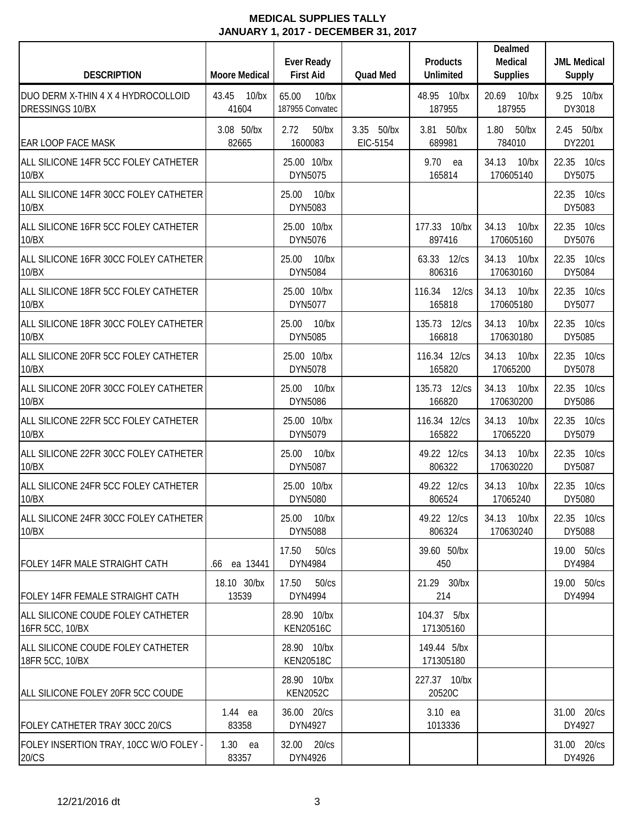| <b>DESCRIPTION</b>                                    | <b>Moore Medical</b>       | <b>Ever Ready</b><br><b>First Aid</b> | Quad Med               | <b>Products</b><br>Unlimited    | Dealmed<br>Medical<br><b>Supplies</b> | <b>JML Medical</b><br>Supply |
|-------------------------------------------------------|----------------------------|---------------------------------------|------------------------|---------------------------------|---------------------------------------|------------------------------|
| DUO DERM X-THIN 4 X 4 HYDROCOLLOID<br>DRESSINGS 10/BX | 43.45<br>$10$ /bx<br>41604 | 65.00<br>$10$ /bx<br>187955 Convatec  |                        | 48.95 10/bx<br>187955           | 20.69<br>10/bx<br>187955              | 9.25 10/bx<br>DY3018         |
| <b>EAR LOOP FACE MASK</b>                             | 3.08 50/bx<br>82665        | 2.72<br>$50$ /bx<br>1600083           | 3.35 50/bx<br>EIC-5154 | 3.81 50/bx<br>689981            | 1.80<br>$50$ /bx<br>784010            | 2.45 50/bx<br>DY2201         |
| ALL SILICONE 14FR 5CC FOLEY CATHETER<br>10/BX         |                            | 25.00 10/bx<br>DYN5075                |                        | 9.70 ea<br>165814               | 34.13<br>$10$ /bx<br>170605140        | 22.35 10/cs<br>DY5075        |
| ALL SILICONE 14FR 30CC FOLEY CATHETER<br>10/BX        |                            | 25.00<br>10/bx<br>DYN5083             |                        |                                 |                                       | 22.35 10/cs<br>DY5083        |
| ALL SILICONE 16FR 5CC FOLEY CATHETER<br>10/BX         |                            | 25.00 10/bx<br>DYN5076                |                        | 177.33 10/bx<br>897416          | 34.13<br>$10$ /bx<br>170605160        | 22.35 10/cs<br>DY5076        |
| ALL SILICONE 16FR 30CC FOLEY CATHETER<br>10/BX        |                            | 25.00 10/bx<br>DYN5084                |                        | 63.33 12/cs<br>806316           | 34.13<br>$10$ /bx<br>170630160        | 22.35 10/cs<br>DY5084        |
| ALL SILICONE 18FR 5CC FOLEY CATHETER<br>10/BX         |                            | 25.00 10/bx<br>DYN5077                |                        | 116.34<br>$12$ / $cs$<br>165818 | 34.13<br>$10$ /bx<br>170605180        | 22.35 10/cs<br>DY5077        |
| ALL SILICONE 18FR 30CC FOLEY CATHETER<br>10/BX        |                            | 25.00 10/bx<br>DYN5085                |                        | 135.73 12/cs<br>166818          | 34.13<br>$10$ /bx<br>170630180        | 22.35 10/cs<br>DY5085        |
| ALL SILICONE 20FR 5CC FOLEY CATHETER<br>10/BX         |                            | 25.00 10/bx<br>DYN5078                |                        | 116.34 12/cs<br>165820          | 34.13<br>$10$ /bx<br>17065200         | 22.35 10/cs<br>DY5078        |
| ALL SILICONE 20FR 30CC FOLEY CATHETER<br>10/BX        |                            | 25.00<br>$10$ /bx<br>DYN5086          |                        | 135.73<br>12/cs<br>166820       | 34.13<br>$10$ /bx<br>170630200        | 22.35 10/cs<br>DY5086        |
| ALL SILICONE 22FR 5CC FOLEY CATHETER<br>10/BX         |                            | 25.00 10/bx<br>DYN5079                |                        | 116.34 12/cs<br>165822          | 34.13<br>10/bx<br>17065220            | 22.35 10/cs<br>DY5079        |
| ALL SILICONE 22FR 30CC FOLEY CATHETER<br>10/BX        |                            | 25.00<br>$10$ /bx<br>DYN5087          |                        | 49.22 12/cs<br>806322           | 34.13<br>$10$ /bx<br>170630220        | 22.35 10/cs<br>DY5087        |
| ALL SILICONE 24FR 5CC FOLEY CATHETER<br>10/BX         |                            | 25.00 10/bx<br>DYN5080                |                        | 49.22 12/cs<br>806524           | 34.13<br>$10$ /bx<br>17065240         | 22.35 10/cs<br>DY5080        |
| ALL SILICONE 24FR 30CC FOLEY CATHETER<br>10/BX        |                            | 25.00 10/bx<br>DYN5088                |                        | 49.22 12/cs<br>806324           | 34.13 10/bx<br>170630240              | 22.35 10/cs<br>DY5088        |
| FOLEY 14FR MALE STRAIGHT CATH                         | ea 13441<br>.66            | 17.50<br>50/cs<br>DYN4984             |                        | 39.60 50/bx<br>450              |                                       | 19.00 50/cs<br>DY4984        |
| <b>FOLEY 14FR FEMALE STRAIGHT CATH</b>                | 18.10 30/bx<br>13539       | 17.50<br>50/cs<br>DYN4994             |                        | 21.29 30/bx<br>214              |                                       | 19.00 50/cs<br>DY4994        |
| ALL SILICONE COUDE FOLEY CATHETER<br>16FR 5CC, 10/BX  |                            | 28.90 10/bx<br><b>KEN20516C</b>       |                        | 104.37 5/bx<br>171305160        |                                       |                              |
| ALL SILICONE COUDE FOLEY CATHETER<br>18FR 5CC, 10/BX  |                            | 28.90 10/bx<br><b>KEN20518C</b>       |                        | 149.44 5/bx<br>171305180        |                                       |                              |
| ALL SILICONE FOLEY 20FR 5CC COUDE                     |                            | 28.90 10/bx<br><b>KEN2052C</b>        |                        | 227.37 10/bx<br>20520C          |                                       |                              |
| FOLEY CATHETER TRAY 30CC 20/CS                        | 1.44 ea<br>83358           | 36.00 20/cs<br>DYN4927                |                        | 3.10 ea<br>1013336              |                                       | 31.00 20/cs<br>DY4927        |
| FOLEY INSERTION TRAY, 10CC W/O FOLEY -<br>20/CS       | $1.30$ ea<br>83357         | 32.00 20/cs<br>DYN4926                |                        |                                 |                                       | 31.00 20/cs<br>DY4926        |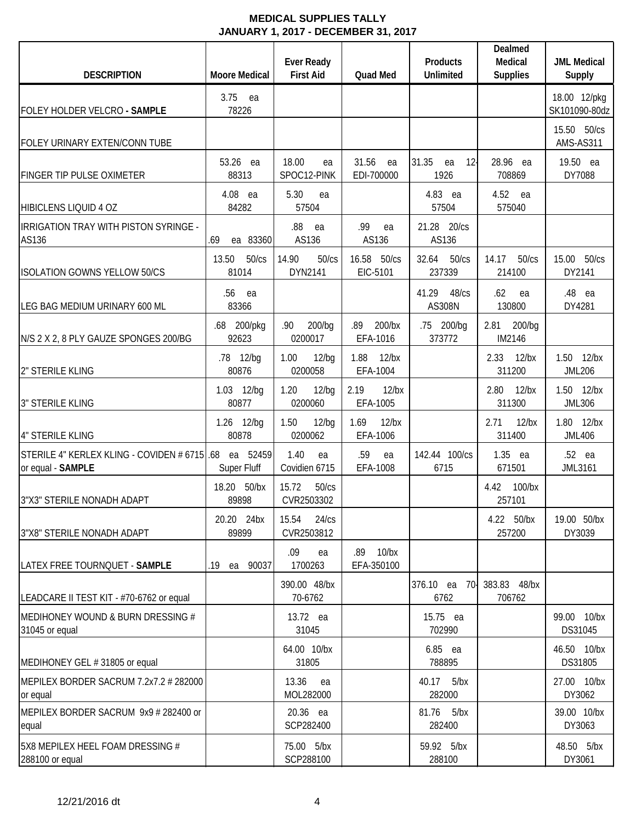| <b>DESCRIPTION</b>                                               | <b>Moore Medical</b>           | <b>Ever Ready</b><br><b>First Aid</b> | <b>Quad Med</b>              | Products<br><b>Unlimited</b>           | Dealmed<br>Medical<br><b>Supplies</b> | <b>JML Medical</b><br><b>Supply</b> |
|------------------------------------------------------------------|--------------------------------|---------------------------------------|------------------------------|----------------------------------------|---------------------------------------|-------------------------------------|
| FOLEY HOLDER VELCRO - SAMPLE                                     | 3.75<br>ea<br>78226            |                                       |                              |                                        |                                       | 18.00 12/pkg<br>SK101090-80dz       |
| FOLEY URINARY EXTEN/CONN TUBE                                    |                                |                                       |                              |                                        |                                       | 15.50 50/cs<br>AMS-AS311            |
| <b>FINGER TIP PULSE OXIMETER</b>                                 | 53.26 ea<br>88313              | 18.00<br>ea<br>SPOC12-PINK            | 31.56<br>ea<br>EDI-700000    | 31.35<br>12 <sup>1</sup><br>ea<br>1926 | 28.96 ea<br>708869                    | 19.50 ea<br>DY7088                  |
| <b>HIBICLENS LIQUID 4 OZ</b>                                     | 4.08 ea<br>84282               | 5.30<br>ea<br>57504                   |                              | 4.83 ea<br>57504                       | 4.52<br>ea<br>575040                  |                                     |
| IRRIGATION TRAY WITH PISTON SYRINGE -<br>AS136                   | ea 83360<br>.69                | .88<br>ea<br>AS136                    | .99<br>ea<br>AS136           | 21.28 20/cs<br>AS136                   |                                       |                                     |
| <b>ISOLATION GOWNS YELLOW 50/CS</b>                              | 50/cs<br>13.50<br>81014        | 14.90<br>50/cs<br>DYN2141             | 16.58<br>50/cs<br>EIC-5101   | 32.64<br>50/cs<br>237339               | 14.17<br>50/cs<br>214100              | 15.00 50/cs<br>DY2141               |
| LEG BAG MEDIUM URINARY 600 ML                                    | .56<br>ea<br>83366             |                                       |                              | 41.29<br>48/cs<br><b>AS308N</b>        | .62<br>ea<br>130800                   | .48 ea<br>DY4281                    |
| N/S 2 X 2, 8 PLY GAUZE SPONGES 200/BG                            | .68 200/pkg<br>92623           | 200/bg<br>.90<br>0200017              | .89<br>200/bx<br>EFA-1016    | .75 200/bg<br>373772                   | 2.81<br>200/bg<br>IM2146              |                                     |
| 2" STERILE KLING                                                 | .78 12/bg<br>80876             | 1.00<br>12/bg<br>0200058              | 1.88<br>$12$ /bx<br>EFA-1004 |                                        | $12$ /bx<br>2.33<br>311200            | 1.50<br>$12$ /bx<br><b>JML206</b>   |
| <b>3" STERILE KLING</b>                                          | 1.03 12/bg<br>80877            | 1.20<br>12/bg<br>0200060              | 2.19<br>$12$ /bx<br>EFA-1005 |                                        | 2.80<br>$12$ /bx<br>311300            | 1.50 12/bx<br><b>JML306</b>         |
| 4" STERILE KLING                                                 | 1.26 12/bg<br>80878            | 12/bg<br>1.50<br>0200062              | 1.69<br>$12$ /bx<br>EFA-1006 |                                        | 2.71<br>$12$ /bx<br>311400            | 1.80 12/bx<br><b>JML406</b>         |
| STERILE 4" KERLEX KLING - COVIDEN # 6715 68<br>or equal - SAMPLE | ea 52459<br><b>Super Fluff</b> | 1.40<br>ea<br>Covidien 6715           | .59<br>ea<br>EFA-1008        | 142.44 100/cs<br>6715                  | $1.35$ ea<br>671501                   | .52 ea<br>JML3161                   |
| 3"X3" STERILE NONADH ADAPT                                       | 18.20 50/bx<br>89898           | 15.72<br>50/cs<br>CVR2503302          |                              |                                        | 4.42 100/bx<br>257101                 |                                     |
| 3"X8" STERILE NONADH ADAPT                                       | 20.20 24bx<br>89899            | 15.54<br>24/cs<br>CVR2503812          |                              |                                        | 4.22 50/bx<br>257200                  | 19.00 50/bx<br>DY3039               |
| LATEX FREE TOURNQUET - SAMPLE                                    | 90037<br>.19<br>ea             | .09<br>ea<br>1700263                  | .89 10/bx<br>EFA-350100      |                                        |                                       |                                     |
| LEADCARE II TEST KIT - #70-6762 or equal                         |                                | 390.00 48/bx<br>70-6762               |                              | 376.10 ea<br>70-<br>6762               | 383.83 48/bx<br>706762                |                                     |
| MEDIHONEY WOUND & BURN DRESSING #<br>31045 or equal              |                                | 13.72 ea<br>31045                     |                              | 15.75 ea<br>702990                     |                                       | 99.00 10/bx<br>DS31045              |
| MEDIHONEY GEL #31805 or equal                                    |                                | 64.00 10/bx<br>31805                  |                              | 6.85 ea<br>788895                      |                                       | 46.50 10/bx<br>DS31805              |
| MEPILEX BORDER SACRUM 7.2x7.2 # 282000<br>or equal               |                                | 13.36<br>ea<br>MOL282000              |                              | 40.17<br>5/bx<br>282000                |                                       | 27.00 10/bx<br>DY3062               |
| MEPILEX BORDER SACRUM 9x9 # 282400 or<br>equal                   |                                | 20.36 ea<br>SCP282400                 |                              | 81.76<br>5/bx<br>282400                |                                       | 39.00 10/bx<br>DY3063               |
| 5X8 MEPILEX HEEL FOAM DRESSING #<br>288100 or equal              |                                | 75.00 5/bx<br>SCP288100               |                              | 59.92 5/bx<br>288100                   |                                       | 48.50 5/bx<br>DY3061                |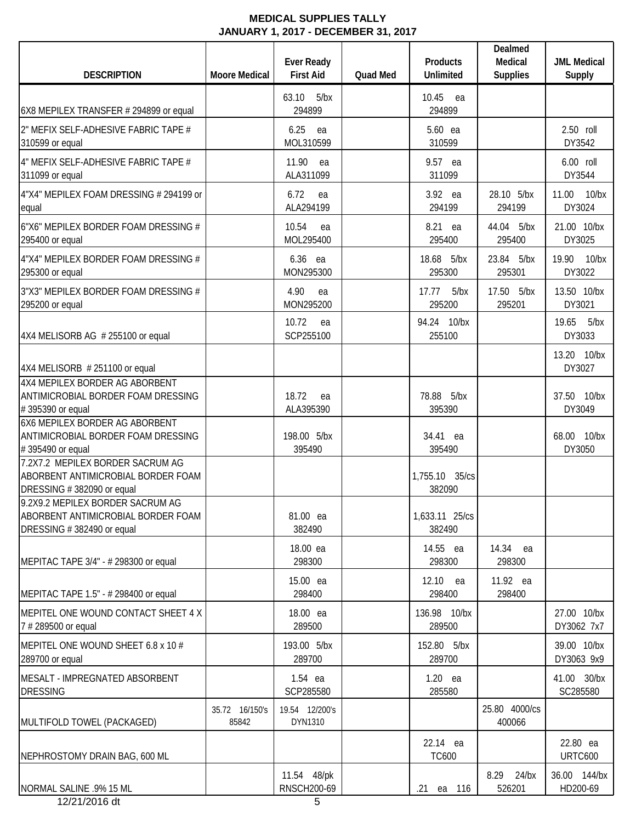| 63.10<br>5/bx<br>10.45 ea<br>294899<br>294899<br>6X8 MEPILEX TRANSFER # 294899 or equal<br>6.25<br>2.50 roll<br>5.60 ea<br>ea<br>MOL310599<br>DY3542<br>310599<br>310599 or equal<br>11.90<br>6.00 roll<br>9.57 ea<br>ea<br>ALA311099<br>DY3544<br>311099 or equal<br>311099<br>3.92 ea<br>28.10 5/bx<br>11.00<br>6.72<br>ea<br>ALA294199<br>DY3024<br>294199<br>294199<br>10.54<br>8.21 ea<br>44.04 5/bx<br>ea<br>MOL295400<br>295400<br>DY3025<br>295400<br>6.36 ea<br>18.68 5/bx<br>23.84 5/bx<br>19.90<br>MON295300<br>295300<br>295301<br>DY3022<br>295300 or equal<br>17.50 5/bx<br>4.90<br>17.77<br>5/bx<br>ea<br>MON295200<br>295201<br>DY3021<br>295200 or equal<br>295200<br>10.72<br>94.24 10/bx<br>19.65<br>ea<br>SCP255100<br>255100<br>DY3033<br>13.20 10/bx<br>DY3027<br>18.72<br>78.88 5/bx<br>ea<br>ALA395390<br>395390<br>DY3049<br>ANTIMICROBIAL BORDER FOAM DRESSING<br>198.00 5/bx<br>34.41 ea<br>395490<br>395490<br>DY3050<br>1,755.10 35/cs<br>382090<br>81.00 ea<br>1,633.11 25/cs<br>382490<br>382490<br>18.00 ea<br>14.55 ea<br>14.34 ea<br>298300<br>298300<br>298300<br>15.00 ea<br>12.10 ea<br>11.92 ea<br>298400<br>298400<br>298400<br>18.00 ea<br>136.98 10/bx<br>289500<br>DY3062 7x7<br>289500<br>193.00 5/bx<br>152.80 5/bx<br>289700<br>289700<br>1.54 ea<br>$1.20$ ea<br>SC285580<br>SCP285580<br>285580<br>25.80 4000/cs<br>35.72 16/150's<br>19.54 12/200's<br>85842<br>DYN1310<br>400066 | <b>DESCRIPTION</b> | <b>Moore Medical</b> | <b>Ever Ready</b><br><b>First Aid</b> | <b>Quad Med</b> | <b>Products</b><br><b>Unlimited</b> | Dealmed<br>Medical<br><b>Supplies</b> | <b>JML Medical</b><br>Supply |
|-----------------------------------------------------------------------------------------------------------------------------------------------------------------------------------------------------------------------------------------------------------------------------------------------------------------------------------------------------------------------------------------------------------------------------------------------------------------------------------------------------------------------------------------------------------------------------------------------------------------------------------------------------------------------------------------------------------------------------------------------------------------------------------------------------------------------------------------------------------------------------------------------------------------------------------------------------------------------------------------------------------------------------------------------------------------------------------------------------------------------------------------------------------------------------------------------------------------------------------------------------------------------------------------------------------------------------------------------------------------------------------------------------------------------------------|--------------------|----------------------|---------------------------------------|-----------------|-------------------------------------|---------------------------------------|------------------------------|
| 2" MEFIX SELF-ADHESIVE FABRIC TAPE #<br>4" MEFIX SELF-ADHESIVE FABRIC TAPE #<br>4"X4" MEPILEX FOAM DRESSING # 294199 or<br>equal<br>6"X6" MEPILEX BORDER FOAM DRESSING #<br>295400 or equal<br>4"X4" MEPILEX BORDER FOAM DRESSING #<br>3"X3" MEPILEX BORDER FOAM DRESSING #<br>4X4 MELISORB AG # 255100 or equal<br>4X4 MELISORB #251100 or equal<br>4X4 MEPILEX BORDER AG ABORBENT<br>ANTIMICROBIAL BORDER FOAM DRESSING<br>#395390 or equal<br>6X6 MEPILEX BORDER AG ABORBENT<br>#395490 or equal<br>7.2X7.2 MEPILEX BORDER SACRUM AG<br>ABORBENT ANTIMICROBIAL BORDER FOAM<br>DRESSING #382090 or equal<br>9.2X9.2 MEPILEX BORDER SACRUM AG<br>ABORBENT ANTIMICROBIAL BORDER FOAM<br>DRESSING #382490 or equal<br>MEPITAC TAPE 3/4" - # 298300 or equal<br>MEPITAC TAPE 1.5" - # 298400 or equal<br>MEPITEL ONE WOUND CONTACT SHEET 4 X<br>7 # 289500 or equal<br>MEPITEL ONE WOUND SHEET 6.8 x 10 #<br>289700 or equal<br>MESALT - IMPREGNATED ABSORBENT<br><b>DRESSING</b><br>MULTIFOLD TOWEL (PACKAGED)                                                                                                                                                                                                                                                                                                                                                                                                                     |                    |                      |                                       |                 |                                     |                                       |                              |
|                                                                                                                                                                                                                                                                                                                                                                                                                                                                                                                                                                                                                                                                                                                                                                                                                                                                                                                                                                                                                                                                                                                                                                                                                                                                                                                                                                                                                                   |                    |                      |                                       |                 |                                     |                                       |                              |
|                                                                                                                                                                                                                                                                                                                                                                                                                                                                                                                                                                                                                                                                                                                                                                                                                                                                                                                                                                                                                                                                                                                                                                                                                                                                                                                                                                                                                                   |                    |                      |                                       |                 |                                     |                                       |                              |
|                                                                                                                                                                                                                                                                                                                                                                                                                                                                                                                                                                                                                                                                                                                                                                                                                                                                                                                                                                                                                                                                                                                                                                                                                                                                                                                                                                                                                                   |                    |                      |                                       |                 |                                     |                                       | $10$ /bx                     |
|                                                                                                                                                                                                                                                                                                                                                                                                                                                                                                                                                                                                                                                                                                                                                                                                                                                                                                                                                                                                                                                                                                                                                                                                                                                                                                                                                                                                                                   |                    |                      |                                       |                 |                                     |                                       | 21.00 10/bx                  |
|                                                                                                                                                                                                                                                                                                                                                                                                                                                                                                                                                                                                                                                                                                                                                                                                                                                                                                                                                                                                                                                                                                                                                                                                                                                                                                                                                                                                                                   |                    |                      |                                       |                 |                                     |                                       | 10/bx                        |
|                                                                                                                                                                                                                                                                                                                                                                                                                                                                                                                                                                                                                                                                                                                                                                                                                                                                                                                                                                                                                                                                                                                                                                                                                                                                                                                                                                                                                                   |                    |                      |                                       |                 |                                     |                                       | 13.50 10/bx                  |
|                                                                                                                                                                                                                                                                                                                                                                                                                                                                                                                                                                                                                                                                                                                                                                                                                                                                                                                                                                                                                                                                                                                                                                                                                                                                                                                                                                                                                                   |                    |                      |                                       |                 |                                     |                                       | 5/bx                         |
|                                                                                                                                                                                                                                                                                                                                                                                                                                                                                                                                                                                                                                                                                                                                                                                                                                                                                                                                                                                                                                                                                                                                                                                                                                                                                                                                                                                                                                   |                    |                      |                                       |                 |                                     |                                       |                              |
|                                                                                                                                                                                                                                                                                                                                                                                                                                                                                                                                                                                                                                                                                                                                                                                                                                                                                                                                                                                                                                                                                                                                                                                                                                                                                                                                                                                                                                   |                    |                      |                                       |                 |                                     |                                       | 37.50 10/bx                  |
|                                                                                                                                                                                                                                                                                                                                                                                                                                                                                                                                                                                                                                                                                                                                                                                                                                                                                                                                                                                                                                                                                                                                                                                                                                                                                                                                                                                                                                   |                    |                      |                                       |                 |                                     |                                       | 68.00 10/bx                  |
|                                                                                                                                                                                                                                                                                                                                                                                                                                                                                                                                                                                                                                                                                                                                                                                                                                                                                                                                                                                                                                                                                                                                                                                                                                                                                                                                                                                                                                   |                    |                      |                                       |                 |                                     |                                       |                              |
|                                                                                                                                                                                                                                                                                                                                                                                                                                                                                                                                                                                                                                                                                                                                                                                                                                                                                                                                                                                                                                                                                                                                                                                                                                                                                                                                                                                                                                   |                    |                      |                                       |                 |                                     |                                       |                              |
|                                                                                                                                                                                                                                                                                                                                                                                                                                                                                                                                                                                                                                                                                                                                                                                                                                                                                                                                                                                                                                                                                                                                                                                                                                                                                                                                                                                                                                   |                    |                      |                                       |                 |                                     |                                       |                              |
|                                                                                                                                                                                                                                                                                                                                                                                                                                                                                                                                                                                                                                                                                                                                                                                                                                                                                                                                                                                                                                                                                                                                                                                                                                                                                                                                                                                                                                   |                    |                      |                                       |                 |                                     |                                       |                              |
|                                                                                                                                                                                                                                                                                                                                                                                                                                                                                                                                                                                                                                                                                                                                                                                                                                                                                                                                                                                                                                                                                                                                                                                                                                                                                                                                                                                                                                   |                    |                      |                                       |                 |                                     |                                       | 27.00 10/bx                  |
|                                                                                                                                                                                                                                                                                                                                                                                                                                                                                                                                                                                                                                                                                                                                                                                                                                                                                                                                                                                                                                                                                                                                                                                                                                                                                                                                                                                                                                   |                    |                      |                                       |                 |                                     |                                       | 39.00 10/bx<br>DY3063 9x9    |
|                                                                                                                                                                                                                                                                                                                                                                                                                                                                                                                                                                                                                                                                                                                                                                                                                                                                                                                                                                                                                                                                                                                                                                                                                                                                                                                                                                                                                                   |                    |                      |                                       |                 |                                     |                                       | 41.00 30/bx                  |
|                                                                                                                                                                                                                                                                                                                                                                                                                                                                                                                                                                                                                                                                                                                                                                                                                                                                                                                                                                                                                                                                                                                                                                                                                                                                                                                                                                                                                                   |                    |                      |                                       |                 |                                     |                                       |                              |
| <b>URTC600</b><br><b>TC600</b><br>NEPHROSTOMY DRAIN BAG, 600 ML                                                                                                                                                                                                                                                                                                                                                                                                                                                                                                                                                                                                                                                                                                                                                                                                                                                                                                                                                                                                                                                                                                                                                                                                                                                                                                                                                                   |                    |                      |                                       |                 | 22.14 ea                            |                                       | 22.80 ea                     |
| 11.54 48/pk<br>8.29 24/bx<br>RNSCH200-69<br>HD200-69<br>NORMAL SALINE .9% 15 ML<br>526201<br>116<br>$.21$ ea<br>12/21/2016 dt<br>5                                                                                                                                                                                                                                                                                                                                                                                                                                                                                                                                                                                                                                                                                                                                                                                                                                                                                                                                                                                                                                                                                                                                                                                                                                                                                                |                    |                      |                                       |                 |                                     |                                       | 36.00 144/bx                 |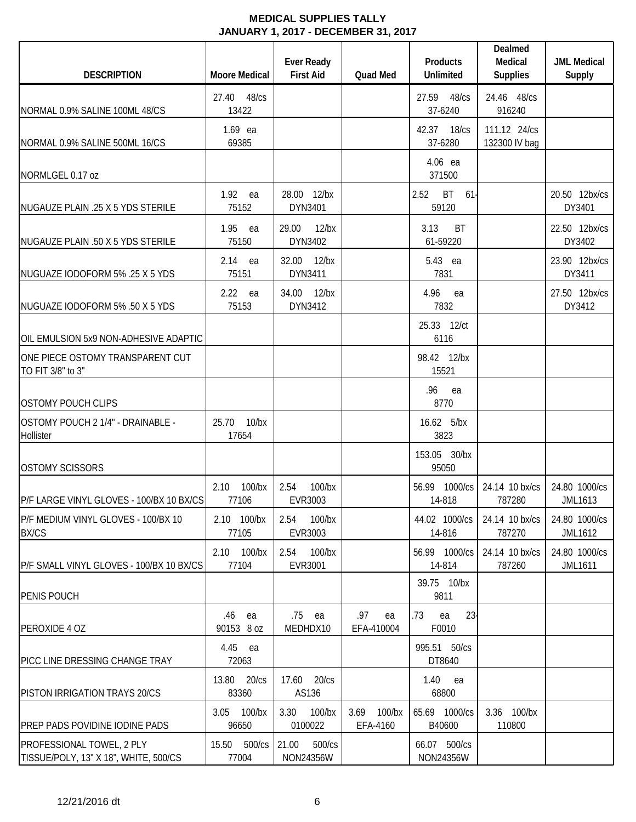| <b>DESCRIPTION</b>                                                 | <b>Moore Medical</b>          | <b>Ever Ready</b><br><b>First Aid</b> | <b>Quad Med</b>               | <b>Products</b><br><b>Unlimited</b>  | Dealmed<br>Medical<br><b>Supplies</b> | <b>JML Medical</b><br>Supply    |
|--------------------------------------------------------------------|-------------------------------|---------------------------------------|-------------------------------|--------------------------------------|---------------------------------------|---------------------------------|
| NORMAL 0.9% SALINE 100ML 48/CS                                     | $48$ / $cs$<br>27.40<br>13422 |                                       |                               | 27.59<br>48/cs<br>37-6240            | 24.46 48/cs<br>916240                 |                                 |
| NORMAL 0.9% SALINE 500ML 16/CS                                     | $1.69$ ea<br>69385            |                                       |                               | 42.37 18/cs<br>37-6280               | 111.12 24/cs<br>132300 IV bag         |                                 |
| NORMLGEL 0.17 oz                                                   |                               |                                       |                               | 4.06 ea<br>371500                    |                                       |                                 |
| NUGAUZE PLAIN .25 X 5 YDS STERILE                                  | 1.92<br>ea<br>75152           | $12$ /bx<br>28.00<br>DYN3401          |                               | <b>BT</b><br>2.52<br>$61 -$<br>59120 |                                       | 20.50 12bx/cs<br>DY3401         |
| NUGAUZE PLAIN .50 X 5 YDS STERILE                                  | 1.95<br>ea<br>75150           | 29.00<br>$12$ /bx<br>DYN3402          |                               | 3.13<br><b>BT</b><br>61-59220        |                                       | 22.50 12bx/cs<br>DY3402         |
| NUGUAZE IODOFORM 5% .25 X 5 YDS                                    | $2.14$ ea<br>75151            | 32.00<br>$12$ /bx<br>DYN3411          |                               | 5.43 ea<br>7831                      |                                       | 23.90 12bx/cs<br>DY3411         |
| NUGUAZE IODOFORM 5% .50 X 5 YDS                                    | 2.22<br>ea<br>75153           | $12$ /bx<br>34.00<br>DYN3412          |                               | 4.96<br>ea<br>7832                   |                                       | 27.50 12bx/cs<br>DY3412         |
| OIL EMULSION 5x9 NON-ADHESIVE ADAPTIC                              |                               |                                       |                               | 25.33 12/ct<br>6116                  |                                       |                                 |
| ONE PIECE OSTOMY TRANSPARENT CUT<br>TO FIT 3/8" to 3"              |                               |                                       |                               | 98.42 12/bx<br>15521                 |                                       |                                 |
| <b>OSTOMY POUCH CLIPS</b>                                          |                               |                                       |                               | .96<br>ea<br>8770                    |                                       |                                 |
| OSTOMY POUCH 2 1/4" - DRAINABLE -<br>Hollister                     | 25.70<br>$10$ /bx<br>17654    |                                       |                               | 16.62 5/bx<br>3823                   |                                       |                                 |
| <b>OSTOMY SCISSORS</b>                                             |                               |                                       |                               | 153.05 30/bx<br>95050                |                                       |                                 |
| P/F LARGE VINYL GLOVES - 100/BX 10 BX/CS                           | 100/bx<br>2.10<br>77106       | 100/bx<br>2.54<br>EVR3003             |                               | 56.99 1000/cs<br>14-818              | 24.14 10 bx/cs<br>787280              | 24.80 1000/cs<br>JML1613        |
| P/F MEDIUM VINYL GLOVES - 100/BX 10<br><b>BX/CS</b>                | 2.10 100/bx<br>77105          | $100$ /bx<br>2.54<br>EVR3003          |                               | 44.02 1000/cs<br>14-816              | 24.14 10 bx/cs<br>787270              | 24.80 1000/cs<br>JML1612        |
| P/F SMALL VINYL GLOVES - 100/BX 10 BX/CS                           | 2.10 100/bx<br>77104          | 100/bx<br>2.54<br>EVR3001             |                               | 56.99 1000/cs<br>14-814              | 24.14 10 bx/cs<br>787260              | 24.80 1000/cs<br><b>JML1611</b> |
| PENIS POUCH                                                        |                               |                                       |                               | 39.75 10/bx<br>9811                  |                                       |                                 |
| PEROXIDE 4 OZ                                                      | .46<br>ea<br>90153 8 oz       | .75<br>ea<br>MEDHDX10                 | .97<br>ea<br>EFA-410004       | 23<br>.73<br>ea<br>F0010             |                                       |                                 |
| PICC LINE DRESSING CHANGE TRAY                                     | 4.45 ea<br>72063              |                                       |                               | 995.51 50/cs<br>DT8640               |                                       |                                 |
| PISTON IRRIGATION TRAYS 20/CS                                      | 13.80<br>$20$ / $cs$<br>83360 | 20/cs<br>17.60<br>AS136               |                               | 1.40<br>ea<br>68800                  |                                       |                                 |
| <b>PREP PADS POVIDINE IODINE PADS</b>                              | 3.05 100/bx<br>96650          | 3.30<br>100/bx<br>0100022             | $100$ /bx<br>3.69<br>EFA-4160 | 65.69 1000/cs<br>B40600              | 3.36 100/bx<br>110800                 |                                 |
| PROFESSIONAL TOWEL, 2 PLY<br>TISSUE/POLY, 13" X 18", WHITE, 500/CS | 15.50 500/cs<br>77004         | 21.00<br>500/cs<br>NON24356W          |                               | 66.07 500/cs<br>NON24356W            |                                       |                                 |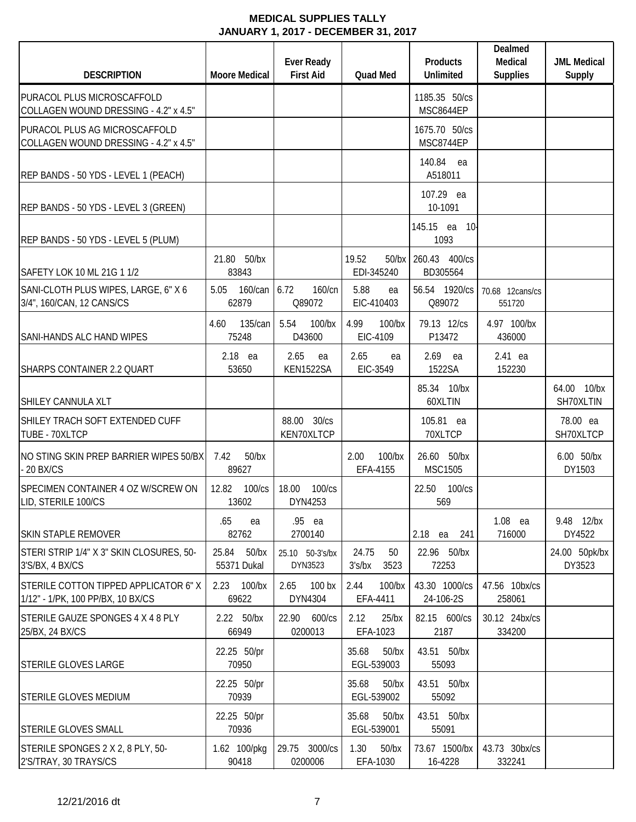| <b>DESCRIPTION</b>                                                        | <b>Moore Medical</b>             | <b>Ever Ready</b><br><b>First Aid</b> | Quad Med                        | <b>Products</b><br><b>Unlimited</b>    | Dealmed<br>Medical<br><b>Supplies</b> | <b>JML Medical</b><br>Supply |
|---------------------------------------------------------------------------|----------------------------------|---------------------------------------|---------------------------------|----------------------------------------|---------------------------------------|------------------------------|
| PURACOL PLUS MICROSCAFFOLD<br>COLLAGEN WOUND DRESSING - 4.2" x 4.5"       |                                  |                                       |                                 | 1185.35 50/cs<br>MSC8644EP             |                                       |                              |
| PURACOL PLUS AG MICROSCAFFOLD<br>COLLAGEN WOUND DRESSING - 4.2" x 4.5"    |                                  |                                       |                                 | 1675.70 50/cs<br>MSC8744EP             |                                       |                              |
| REP BANDS - 50 YDS - LEVEL 1 (PEACH)                                      |                                  |                                       |                                 | 140.84<br>ea<br>A518011                |                                       |                              |
| REP BANDS - 50 YDS - LEVEL 3 (GREEN)                                      |                                  |                                       |                                 | 107.29 ea<br>10-1091                   |                                       |                              |
| REP BANDS - 50 YDS - LEVEL 5 (PLUM)                                       |                                  |                                       |                                 | 145.15 ea<br>- 10 <sup>-</sup><br>1093 |                                       |                              |
| SAFETY LOK 10 ML 21G 1 1/2                                                | 21.80 50/bx<br>83843             |                                       | 19.52<br>$50$ /bx<br>EDI-345240 | 260.43 400/cs<br>BD305564              |                                       |                              |
| SANI-CLOTH PLUS WIPES, LARGE, 6" X 6<br>3/4", 160/CAN, 12 CANS/CS         | 5.05<br>160/can<br>62879         | 6.72<br>$160$ /cn<br>Q89072           | 5.88<br>ea<br>EIC-410403        | 56.54 1920/cs<br>Q89072                | 70.68 12cans/cs<br>551720             |                              |
| <b>SANI-HANDS ALC HAND WIPES</b>                                          | 135/can<br>4.60<br>75248         | 5.54<br>$100$ /bx<br>D43600           | 4.99<br>100/bx<br>EIC-4109      | 79.13 12/cs<br>P13472                  | 4.97 100/bx<br>436000                 |                              |
| SHARPS CONTAINER 2.2 QUART                                                | 2.18 ea<br>53650                 | 2.65<br>ea<br>KEN1522SA               | 2.65<br>ea<br>EIC-3549          | 2.69<br>ea<br>1522SA                   | 2.41 ea<br>152230                     |                              |
| SHILEY CANNULA XLT                                                        |                                  |                                       |                                 | 85.34 10/bx<br>60XLTIN                 |                                       | 10/bx<br>64.00<br>SH70XLTIN  |
| SHILEY TRACH SOFT EXTENDED CUFF<br>TUBE - 70XLTCP                         |                                  | 88.00 30/cs<br>KEN70XLTCP             |                                 | 105.81 ea<br>70XLTCP                   |                                       | 78.00 ea<br>SH70XLTCP        |
| NO STING SKIN PREP BARRIER WIPES 50/BX<br>$-20$ BX/CS                     | 7.42<br>$50$ /bx<br>89627        |                                       | 2.00<br>100/bx<br>EFA-4155      | 26.60 50/bx<br><b>MSC1505</b>          |                                       | 6.00 50/bx<br>DY1503         |
| SPECIMEN CONTAINER 4 OZ W/SCREW ON<br>LID, STERILE 100/CS                 | 12.82<br>100/cs<br>13602         | 18.00<br>100/cs<br>DYN4253            |                                 | 22.50<br>100/cs<br>569                 |                                       |                              |
| <b>SKIN STAPLE REMOVER</b>                                                | .65<br>ea<br>82762               | .95 ea<br>2700140                     |                                 | 2.18 ea<br>241                         | 1.08 ea<br>716000                     | 9.48 12/bx<br>DY4522         |
| STERI STRIP 1/4" X 3" SKIN CLOSURES, 50-<br>3'S/BX, 4 BX/CS               | 25.84<br>$50$ /bx<br>55371 Dukal | 25.10 50-3's/bx<br>DYN3523            | 24.75<br>50<br>3's/bx<br>3523   | 22.96 50/bx<br>72253                   |                                       | 24.00 50pk/bx<br>DY3523      |
| STERILE COTTON TIPPED APPLICATOR 6"X<br>1/12" - 1/PK, 100 PP/BX, 10 BX/CS | 2.23<br>$100$ /bx<br>69622       | 2.65<br>100 <sub>bx</sub><br>DYN4304  | 2.44<br>$100$ /bx<br>EFA-4411   | 43.30 1000/cs<br>24-106-2S             | 47.56 10bx/cs<br>258061               |                              |
| STERILE GAUZE SPONGES 4 X 4 8 PLY<br>25/BX, 24 BX/CS                      | 2.22 50/bx<br>66949              | 600/cs<br>22.90<br>0200013            | 2.12<br>$25$ /bx<br>EFA-1023    | 82.15 600/cs<br>2187                   | 30.12 24bx/cs<br>334200               |                              |
| STERILE GLOVES LARGE                                                      | 22.25 50/pr<br>70950             |                                       | 35.68<br>$50$ /bx<br>EGL-539003 | 43.51 50/bx<br>55093                   |                                       |                              |
| <b>STERILE GLOVES MEDIUM</b>                                              | 22.25 50/pr<br>70939             |                                       | 35.68<br>$50$ /bx<br>EGL-539002 | 43.51 50/bx<br>55092                   |                                       |                              |
| <b>STERILE GLOVES SMALL</b>                                               | 22.25 50/pr<br>70936             |                                       | 35.68<br>$50$ /bx<br>EGL-539001 | 43.51 50/bx<br>55091                   |                                       |                              |
| STERILE SPONGES 2 X 2, 8 PLY, 50-<br>2'S/TRAY, 30 TRAYS/CS                | 1.62 100/pkg<br>90418            | 29.75 3000/cs<br>0200006              | 1.30<br>$50$ /bx<br>EFA-1030    | 73.67 1500/bx<br>16-4228               | 43.73 30bx/cs<br>332241               |                              |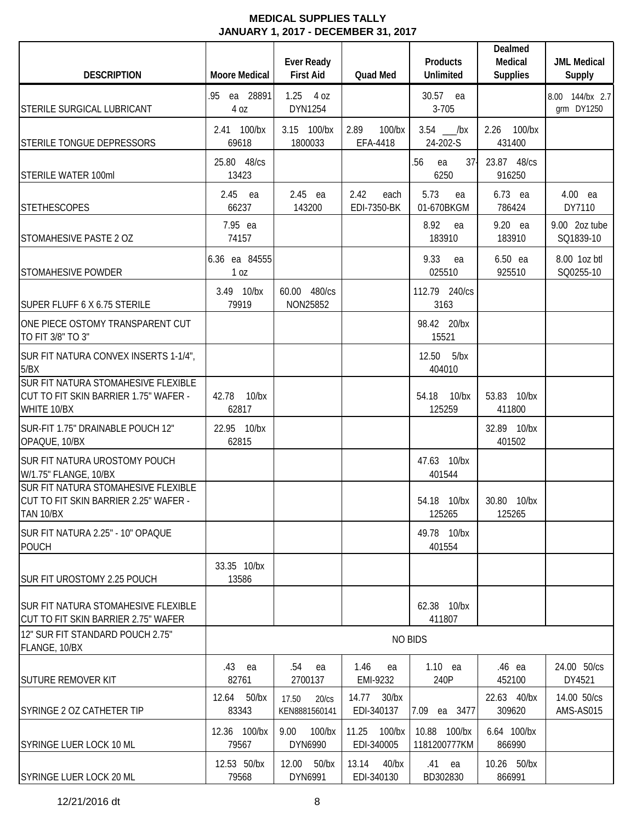| <b>DESCRIPTION</b>                                                                          | <b>Moore Medical</b>             | <b>Ever Ready</b><br><b>First Aid</b> | Quad Med                         | <b>Products</b><br><b>Unlimited</b> | Dealmed<br>Medical<br><b>Supplies</b> | <b>JML Medical</b><br><b>Supply</b> |
|---------------------------------------------------------------------------------------------|----------------------------------|---------------------------------------|----------------------------------|-------------------------------------|---------------------------------------|-------------------------------------|
| STERILE SURGICAL LUBRICANT                                                                  | .95 ea 28891<br>4 oz             | $1.25$ 4 oz<br>DYN1254                |                                  | 30.57 ea<br>$3 - 705$               |                                       | 8.00 144/bx 2.7<br>grm DY1250       |
| STERILE TONGUE DEPRESSORS                                                                   | 2.41 100/bx<br>69618             | 3.15 100/bx<br>1800033                | 2.89<br>$100$ /bx<br>EFA-4418    | $3.54$ __/bx<br>24-202-S            | 2.26 100/bx<br>431400                 |                                     |
| <b>STERILE WATER 100ml</b>                                                                  | 25.80 48/cs<br>13423             |                                       |                                  | $37-$<br>.56<br>ea<br>6250          | 23.87 48/cs<br>916250                 |                                     |
| <b>STETHESCOPES</b>                                                                         | 2.45 ea<br>66237                 | 2.45 ea<br>143200                     | 2.42<br>each<br>EDI-7350-BK      | 5.73<br>ea<br>01-670BKGM            | 6.73 ea<br>786424                     | 4.00 ea<br>DY7110                   |
| STOMAHESIVE PASTE 2 OZ                                                                      | 7.95 ea<br>74157                 |                                       |                                  | 8.92<br>ea<br>183910                | 9.20 ea<br>183910                     | 9.00 2oz tube<br>SQ1839-10          |
| <b>STOMAHESIVE POWDER</b>                                                                   | 6.36 ea 84555<br>1 <sub>0Z</sub> |                                       |                                  | 9.33<br>ea<br>025510                | 6.50 ea<br>925510                     | 8.00 1oz btl<br>SQ0255-10           |
| SUPER FLUFF 6 X 6.75 STERILE                                                                | 3.49 10/bx<br>79919              | 60.00 480/cs<br>NON25852              |                                  | 112.79 240/cs<br>3163               |                                       |                                     |
| ONE PIECE OSTOMY TRANSPARENT CUT<br>TO FIT 3/8" TO 3"                                       |                                  |                                       |                                  | 98.42 20/bx<br>15521                |                                       |                                     |
| SUR FIT NATURA CONVEX INSERTS 1-1/4",<br>5/BX                                               |                                  |                                       |                                  | 12.50 5/bx<br>404010                |                                       |                                     |
| SUR FIT NATURA STOMAHESIVE FLEXIBLE<br>CUT TO FIT SKIN BARRIER 1.75" WAFER -<br>WHITE 10/BX | 42.78 10/bx<br>62817             |                                       |                                  | 54.18 10/bx<br>125259               | 53.83 10/bx<br>411800                 |                                     |
| SUR-FIT 1.75" DRAINABLE POUCH 12"<br>OPAQUE, 10/BX                                          | 22.95 10/bx<br>62815             |                                       |                                  |                                     | 32.89 10/bx<br>401502                 |                                     |
| SUR FIT NATURA UROSTOMY POUCH<br>W/1.75" FLANGE, 10/BX                                      |                                  |                                       |                                  | 47.63 10/bx<br>401544               |                                       |                                     |
| SUR FIT NATURA STOMAHESIVE FLEXIBLE<br>CUT TO FIT SKIN BARRIER 2.25" WAFER -<br>TAN 10/BX   |                                  |                                       |                                  | 54.18 10/bx<br>125265               | 30.80 10/bx<br>125265                 |                                     |
| SUR FIT NATURA 2.25" - 10" OPAQUE<br><b>POUCH</b>                                           |                                  |                                       |                                  | 49.78 10/bx<br>401554               |                                       |                                     |
| SUR FIT UROSTOMY 2.25 POUCH                                                                 | 33.35 10/bx<br>13586             |                                       |                                  |                                     |                                       |                                     |
| <b>SUR FIT NATURA STOMAHESIVE FLEXIBLE</b><br>CUT TO FIT SKIN BARRIER 2.75" WAFER           |                                  |                                       |                                  | 62.38 10/bx<br>411807               |                                       |                                     |
| 12" SUR FIT STANDARD POUCH 2.75"<br>FLANGE, 10/BX                                           |                                  |                                       |                                  | <b>NO BIDS</b>                      |                                       |                                     |
| <b>SUTURE REMOVER KIT</b>                                                                   | .43 ea<br>82761                  | .54<br>ea<br>2700137                  | 1.46<br>ea<br>EMI-9232           | $1.10$ ea<br>240P                   | .46 ea<br>452100                      | 24.00 50/cs<br>DY4521               |
| <b>SYRINGE 2 OZ CATHETER TIP</b>                                                            | 12.64 50/bx<br>83343             | 17.50<br>20/cs<br>KEN8881560141       | 14.77<br>$30$ /bx<br>EDI-340137  | 7.09<br>ea 3477                     | 22.63 40/bx<br>309620                 | 14.00 50/cs<br>AMS-AS015            |
| SYRINGE LUER LOCK 10 ML                                                                     | 12.36 100/bx<br>79567            | 9.00<br>$100$ /bx<br>DYN6990          | 11.25<br>$100$ /bx<br>EDI-340005 | 10.88 100/bx<br>1181200777KM        | 6.64 100/bx<br>866990                 |                                     |
| SYRINGE LUER LOCK 20 ML                                                                     | 12.53 50/bx<br>79568             | 12.00 50/bx<br>DYN6991                | 13.14<br>$40$ /bx<br>EDI-340130  | .41<br>ea<br>BD302830               | 10.26 50/bx<br>866991                 |                                     |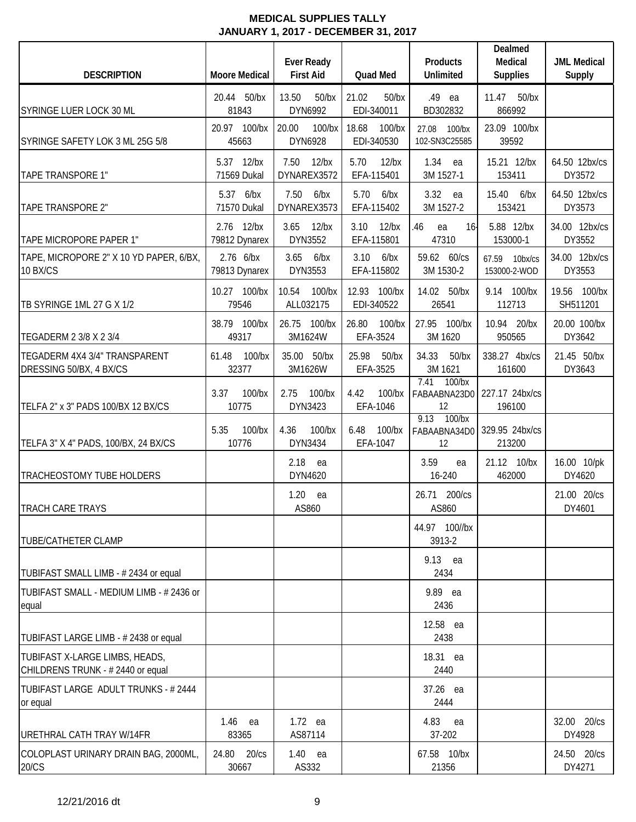| <b>DESCRIPTION</b>                                                 | <b>Moore Medical</b>        | <b>Ever Ready</b><br><b>First Aid</b> | Quad Med                         | <b>Products</b><br><b>Unlimited</b>     | Dealmed<br>Medical<br><b>Supplies</b> | <b>JML Medical</b><br>Supply |
|--------------------------------------------------------------------|-----------------------------|---------------------------------------|----------------------------------|-----------------------------------------|---------------------------------------|------------------------------|
| SYRINGE LUER LOCK 30 ML                                            | 20.44 50/bx<br>81843        | 13.50<br>$50$ /bx<br>DYN6992          | 21.02<br>$50$ /bx<br>EDI-340011  | .49 ea<br>BD302832                      | 11.47<br>$50$ /bx<br>866992           |                              |
| SYRINGE SAFETY LOK 3 ML 25G 5/8                                    | 20.97 100/bx<br>45663       | 20.00<br>$100$ /bx<br>DYN6928         | 18.68<br>$100$ /bx<br>EDI-340530 | 27.08<br>100/bx<br>102-SN3C25585        | 23.09 100/bx<br>39592                 |                              |
| <b>TAPE TRANSPORE 1"</b>                                           | 5.37 12/bx<br>71569 Dukal   | 7.50<br>$12$ /bx<br>DYNAREX3572       | 5.70<br>$12$ /bx<br>EFA-115401   | 1.34<br>ea<br>3M 1527-1                 | 15.21 12/bx<br>153411                 | 64.50 12bx/cs<br>DY3572      |
| TAPE TRANSPORE 2"                                                  | 5.37 6/bx<br>71570 Dukal    | 7.50<br>6/bx<br>DYNAREX3573           | 5.70<br>6/bx<br>EFA-115402       | 3.32<br>ea<br>3M 1527-2                 | 15.40<br>$6$ /bx<br>153421            | 64.50 12bx/cs<br>DY3573      |
| TAPE MICROPORE PAPER 1"                                            | 2.76 12/bx<br>79812 Dynarex | 3.65<br>$12$ /bx<br>DYN3552           | 3.10<br>$12$ /bx<br>EFA-115801   | .46<br>16 <sub>1</sub><br>ea<br>47310   | 5.88 12/bx<br>153000-1                | 34.00 12bx/cs<br>DY3552      |
| TAPE, MICROPORE 2" X 10 YD PAPER, 6/BX,<br>10 BX/CS                | 2.76 6/bx<br>79813 Dynarex  | 3.65<br>6/bx<br>DYN3553               | 3.10<br>6/bx<br>EFA-115802       | 59.62 60/cs<br>3M 1530-2                | 67.59<br>10bx/cs<br>153000-2-WOD      | 34.00 12bx/cs<br>DY3553      |
| TB SYRINGE 1ML 27 G X 1/2                                          | 10.27 100/bx<br>79546       | 10.54<br>$100$ /bx<br>ALL032175       | 12.93 100/bx<br>EDI-340522       | 14.02 50/bx<br>26541                    | 9.14 100/bx<br>112713                 | 19.56 100/bx<br>SH511201     |
| TEGADERM 2 3/8 X 2 3/4                                             | 38.79 100/bx<br>49317       | 26.75 100/bx<br>3M1624W               | 26.80<br>$100$ /bx<br>EFA-3524   | 27.95 100/bx<br>3M 1620                 | 10.94 20/bx<br>950565                 | 20.00 100/bx<br>DY3642       |
| TEGADERM 4X4 3/4" TRANSPARENT<br>DRESSING 50/BX, 4 BX/CS           | 61.48<br>$100$ /bx<br>32377 | 35.00 50/bx<br>3M1626W                | 25.98<br>$50$ /bx<br>EFA-3525    | 34.33<br>$50$ /bx<br>3M 1621            | 338.27 4bx/cs<br>161600               | 21.45 50/bx<br>DY3643        |
| TELFA 2" x 3" PADS 100/BX 12 BX/CS                                 | 3.37<br>100/bx<br>10775     | 2.75<br>100/bx<br>DYN3423             | 4.42<br>$100$ /bx<br>EFA-1046    | 7.41<br>$100$ /bx<br>FABAABNA23D0<br>12 | 227.17 24bx/cs<br>196100              |                              |
| TELFA 3" X 4" PADS, 100/BX, 24 BX/CS                               | $100$ /bx<br>5.35<br>10776  | 4.36<br>100/bx<br>DYN3434             | 6.48<br>$100$ /bx<br>EFA-1047    | 9.13 100/bx<br>FABAABNA34D0<br>12       | 329.95 24bx/cs<br>213200              |                              |
| TRACHEOSTOMY TUBE HOLDERS                                          |                             | 2.18<br>ea<br>DYN4620                 |                                  | 3.59<br>ea<br>16-240                    | 21.12 10/bx<br>462000                 | 16.00 10/pk<br>DY4620        |
| TRACH CARE TRAYS                                                   |                             | 1.20<br>ea<br>AS860                   |                                  | 26.71 200/cs<br>AS860                   |                                       | 21.00 20/cs<br>DY4601        |
| <b>TUBE/CATHETER CLAMP</b>                                         |                             |                                       |                                  | 44.97 100//bx<br>3913-2                 |                                       |                              |
| TUBIFAST SMALL LIMB - #2434 or equal                               |                             |                                       |                                  | 9.13 ea<br>2434                         |                                       |                              |
| TUBIFAST SMALL - MEDIUM LIMB - # 2436 or<br>equal                  |                             |                                       |                                  | 9.89 ea<br>2436                         |                                       |                              |
| TUBIFAST LARGE LIMB - # 2438 or equal                              |                             |                                       |                                  | 12.58 ea<br>2438                        |                                       |                              |
| TUBIFAST X-LARGE LIMBS, HEADS,<br>CHILDRENS TRUNK - #2440 or equal |                             |                                       |                                  | 18.31 ea<br>2440                        |                                       |                              |
| TUBIFAST LARGE ADULT TRUNKS - # 2444<br>or equal                   |                             |                                       |                                  | 37.26 ea<br>2444                        |                                       |                              |
| URETHRAL CATH TRAY W/14FR                                          | $1.46$ ea<br>83365          | $1.72$ ea<br>AS87114                  |                                  | 4.83<br>ea<br>37-202                    |                                       | 32.00 20/cs<br>DY4928        |
| COLOPLAST URINARY DRAIN BAG, 2000ML,<br>20/CS                      | 24.80 20/cs<br>30667        | $1.40$ ea<br>AS332                    |                                  | 67.58 10/bx<br>21356                    |                                       | 24.50 20/cs<br>DY4271        |